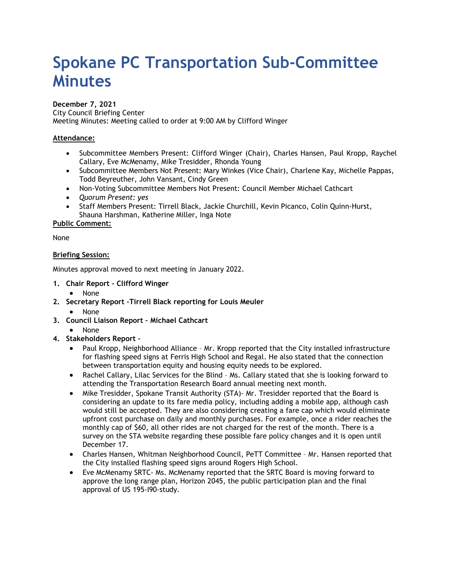# **Spokane PC Transportation Sub-Committee Minutes**

#### **December 7, 2021**

City Council Briefing Center Meeting Minutes: Meeting called to order at 9:00 AM by Clifford Winger

## **Attendance:**

- Subcommittee Members Present: Clifford Winger (Chair), Charles Hansen, Paul Kropp, Raychel Callary, Eve McMenamy, Mike Tresidder, Rhonda Young
- Subcommittee Members Not Present: Mary Winkes (Vice Chair), Charlene Kay, Michelle Pappas, Todd Beyreuther, John Vansant, Cindy Green
- Non-Voting Subcommittee Members Not Present: Council Member Michael Cathcart
- *Quorum Present: yes*
- Staff Members Present: Tirrell Black, Jackie Churchill, Kevin Picanco, Colin Quinn-Hurst, Shauna Harshman, Katherine Miller, Inga Note

## **Public Comment:**

None

## **Briefing Session:**

Minutes approval moved to next meeting in January 2022.

- **1. Chair Report – Clifford Winger**
	- None
- **2. Secretary Report –Tirrell Black reporting for Louis Meuler**
	- None
- **3. Council Liaison Report – Michael Cathcart**
	- None

## **4. Stakeholders Report –**

- Paul Kropp, Neighborhood Alliance Mr. Kropp reported that the City installed infrastructure for flashing speed signs at Ferris High School and Regal. He also stated that the connection between transportation equity and housing equity needs to be explored.
- Rachel Callary, Lilac Services for the Blind Ms. Callary stated that she is looking forward to attending the Transportation Research Board annual meeting next month.
- Mike Tresidder, Spokane Transit Authority (STA)- Mr. Tresidder reported that the Board is considering an update to its fare media policy, including adding a mobile app, although cash would still be accepted. They are also considering creating a fare cap which would eliminate upfront cost purchase on daily and monthly purchases. For example, once a rider reaches the monthly cap of \$60, all other rides are not charged for the rest of the month. There is a survey on the STA website regarding these possible fare policy changes and it is open until December 17.
- Charles Hansen, Whitman Neighborhood Council, PeTT Committee Mr. Hansen reported that the City installed flashing speed signs around Rogers High School.
- Eve McMenamy SRTC- Ms. McMenamy reported that the SRTC Board is moving forward to approve the long range plan, Horizon 2045, the public participation plan and the final approval of US 195-I90-study.